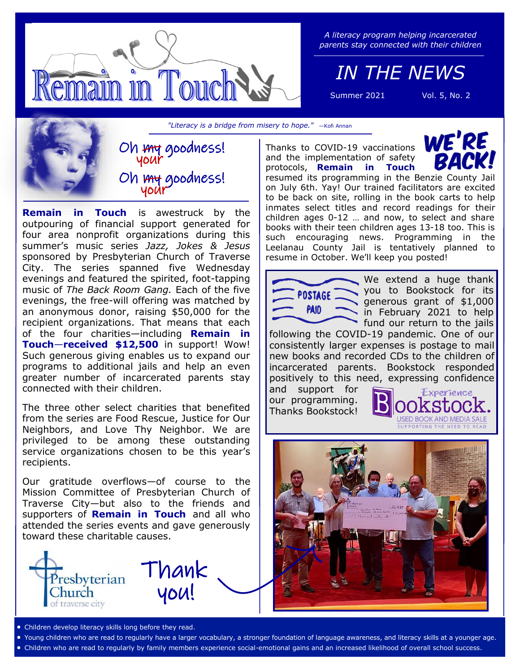

*A literacy program helping incarcerated parents stay connected with their children*

*IN THE NEWS*

Summer 2021 Vol. 5, No. 2

*"Literacy is a bridge from misery to hope."* —Kofi Annan

Oh my goodness! your Oh my goodness! your

**Remain in Touch** is awestruck by the outpouring of financial support generated for four area nonprofit organizations during this summer's music series *Jazz, Jokes & Jesus*  sponsored by Presbyterian Church of Traverse City. The series spanned five Wednesday evenings and featured the spirited, foot-tapping music of *The Back Room Gang.* Each of the five evenings, the free-will offering was matched by an anonymous donor, raising \$50,000 for the recipient organizations. That means that each of the four charities—including **Remain in Touch**—**received \$12,500** in support! Wow! Such generous giving enables us to expand our programs to additional jails and help an even greater number of incarcerated parents stay connected with their children.

The three other select charities that benefited from the series are Food Rescue, Justice for Our Neighbors, and Love Thy Neighbor. We are privileged to be among these outstanding service organizations chosen to be this year's recipients.

Our gratitude overflows—of course to the Mission Committee of Presbyterian Church of Traverse City—but also to the friends and supporters of **Remain in Touch** and all who attended the series events and gave generously toward these charitable causes.



WE'RE Thanks to COVID-19 vaccinations and the implementation of safety protocols, **Remain in Touch**  resumed its programming in the Benzie County Jail on July 6th. Yay! Our trained facilitators are excited

to be back on site, rolling in the book carts to help inmates select titles and record readings for their children ages 0-12 … and now, to select and share books with their teen children ages 13-18 too. This is such encouraging news. Programming in the Leelanau County Jail is tentatively planned to resume in October. We'll keep you posted!



We extend a huge thank you to Bookstock for its generous grant of \$1,000 in February 2021 to help fund our return to the jails

following the COVID-19 pandemic. One of our consistently larger expenses is postage to mail new books and recorded CDs to the children of incarcerated parents. Bookstock responded positively to this need, expressing confidence

and support for our programming. Thanks Bookstock!





- Children develop literacy skills long before they read.
- Young children who are read to regularly have a larger vocabulary, a stronger foundation of language awareness, and literacy skills at a younger age.
- Children who are read to regularly by family members experience social-emotional gains and an increased likelihood of overall school success.